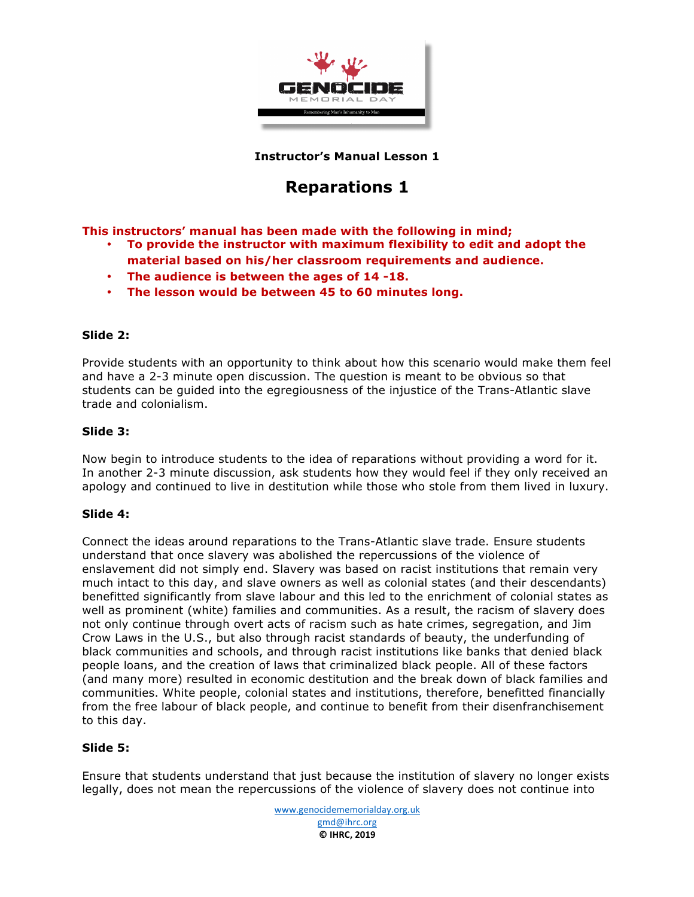

**Instructor's Manual Lesson 1**

# **Reparations 1**

**This instructors' manual has been made with the following in mind;**

- **To provide the instructor with maximum flexibility to edit and adopt the material based on his/her classroom requirements and audience.**
- **The audience is between the ages of 14 -18.**
- **The lesson would be between 45 to 60 minutes long.**

## **Slide 2:**

Provide students with an opportunity to think about how this scenario would make them feel and have a 2-3 minute open discussion. The question is meant to be obvious so that students can be guided into the egregiousness of the injustice of the Trans-Atlantic slave trade and colonialism.

#### **Slide 3:**

Now begin to introduce students to the idea of reparations without providing a word for it. In another 2-3 minute discussion, ask students how they would feel if they only received an apology and continued to live in destitution while those who stole from them lived in luxury.

#### **Slide 4:**

Connect the ideas around reparations to the Trans-Atlantic slave trade. Ensure students understand that once slavery was abolished the repercussions of the violence of enslavement did not simply end. Slavery was based on racist institutions that remain very much intact to this day, and slave owners as well as colonial states (and their descendants) benefitted significantly from slave labour and this led to the enrichment of colonial states as well as prominent (white) families and communities. As a result, the racism of slavery does not only continue through overt acts of racism such as hate crimes, segregation, and Jim Crow Laws in the U.S., but also through racist standards of beauty, the underfunding of black communities and schools, and through racist institutions like banks that denied black people loans, and the creation of laws that criminalized black people. All of these factors (and many more) resulted in economic destitution and the break down of black families and communities. White people, colonial states and institutions, therefore, benefitted financially from the free labour of black people, and continue to benefit from their disenfranchisement to this day.

## **Slide 5:**

Ensure that students understand that just because the institution of slavery no longer exists legally, does not mean the repercussions of the violence of slavery does not continue into

> www.genocidememorialday.org.uk gmd@ihrc.org **© IHRC, 2019**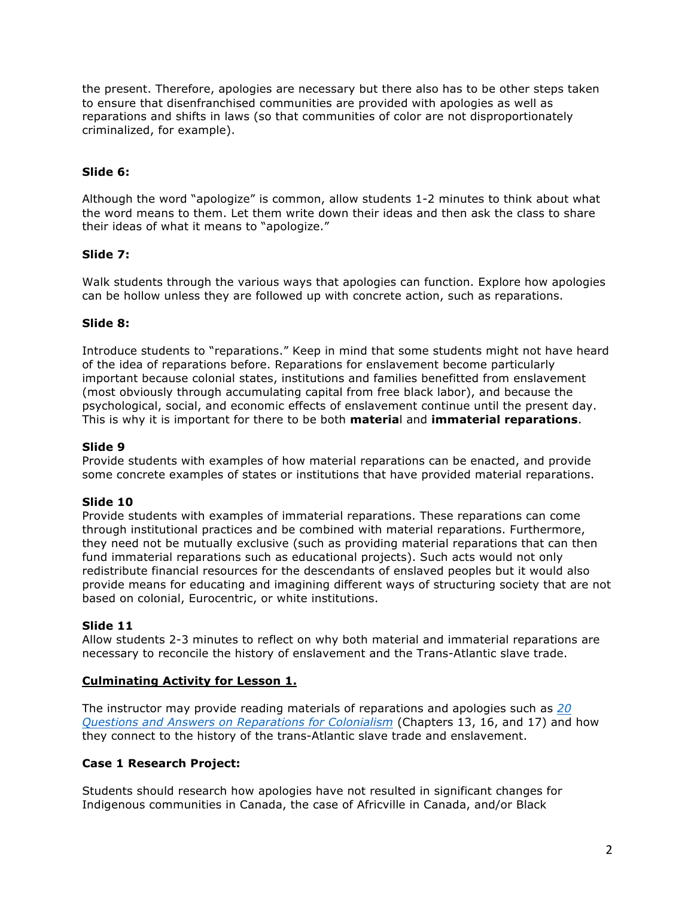the present. Therefore, apologies are necessary but there also has to be other steps taken to ensure that disenfranchised communities are provided with apologies as well as reparations and shifts in laws (so that communities of color are not disproportionately criminalized, for example).

## **Slide 6:**

Although the word "apologize" is common, allow students 1-2 minutes to think about what the word means to them. Let them write down their ideas and then ask the class to share their ideas of what it means to "apologize."

#### **Slide 7:**

Walk students through the various ways that apologies can function. Explore how apologies can be hollow unless they are followed up with concrete action, such as reparations.

#### **Slide 8:**

Introduce students to "reparations." Keep in mind that some students might not have heard of the idea of reparations before. Reparations for enslavement become particularly important because colonial states, institutions and families benefitted from enslavement (most obviously through accumulating capital from free black labor), and because the psychological, social, and economic effects of enslavement continue until the present day. This is why it is important for there to be both **materia**l and **immaterial reparations**.

#### **Slide 9**

Provide students with examples of how material reparations can be enacted, and provide some concrete examples of states or institutions that have provided material reparations.

#### **Slide 10**

Provide students with examples of immaterial reparations. These reparations can come through institutional practices and be combined with material reparations. Furthermore, they need not be mutually exclusive (such as providing material reparations that can then fund immaterial reparations such as educational projects). Such acts would not only redistribute financial resources for the descendants of enslaved peoples but it would also provide means for educating and imagining different ways of structuring society that are not based on colonial, Eurocentric, or white institutions.

#### **Slide 11**

Allow students 2-3 minutes to reflect on why both material and immaterial reparations are necessary to reconcile the history of enslavement and the Trans-Atlantic slave trade.

#### **Culminating Activity for Lesson 1.**

The instructor may provide reading materials of reparations and apologies such as *20 Questions and Answers on Reparations for Colonialism* (Chapters 13, 16, and 17) and how they connect to the history of the trans-Atlantic slave trade and enslavement.

#### **Case 1 Research Project:**

Students should research how apologies have not resulted in significant changes for Indigenous communities in Canada, the case of Africville in Canada, and/or Black